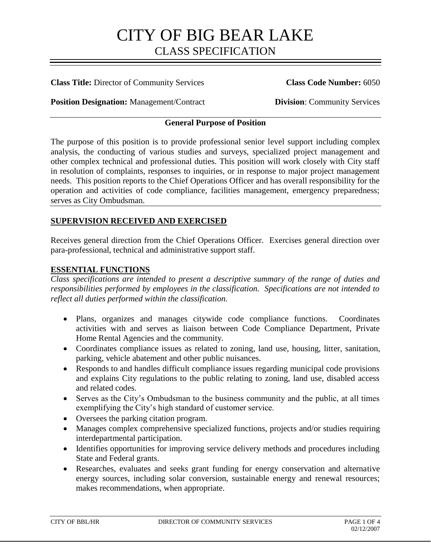### **Class Title:** Director of Community Services **Class Code Number:** 6050

**Position Designation:** Management/Contract **Division: Community Services** 

## **General Purpose of Position**

The purpose of this position is to provide professional senior level support including complex analysis, the conducting of various studies and surveys, specialized project management and other complex technical and professional duties. This position will work closely with City staff in resolution of complaints, responses to inquiries, or in response to major project management needs. This position reports to the Chief Operations Officer and has overall responsibility for the operation and activities of code compliance, facilities management, emergency preparedness; serves as City Ombudsman.

### **SUPERVISION RECEIVED AND EXERCISED**

Receives general direction from the Chief Operations Officer. Exercises general direction over para-professional, technical and administrative support staff.

### **ESSENTIAL FUNCTIONS**

*Class specifications are intended to present a descriptive summary of the range of duties and responsibilities performed by employees in the classification. Specifications are not intended to reflect all duties performed within the classification.*

- Plans, organizes and manages citywide code compliance functions. Coordinates activities with and serves as liaison between Code Compliance Department, Private Home Rental Agencies and the community.
- Coordinates compliance issues as related to zoning, land use, housing, litter, sanitation, parking, vehicle abatement and other public nuisances.
- Responds to and handles difficult compliance issues regarding municipal code provisions and explains City regulations to the public relating to zoning, land use, disabled access and related codes.
- Serves as the City's Ombudsman to the business community and the public, at all times exemplifying the City's high standard of customer service.
- Oversees the parking citation program.
- Manages complex comprehensive specialized functions, projects and/or studies requiring interdepartmental participation.
- Identifies opportunities for improving service delivery methods and procedures including State and Federal grants.
- Researches, evaluates and seeks grant funding for energy conservation and alternative energy sources, including solar conversion, sustainable energy and renewal resources; makes recommendations, when appropriate.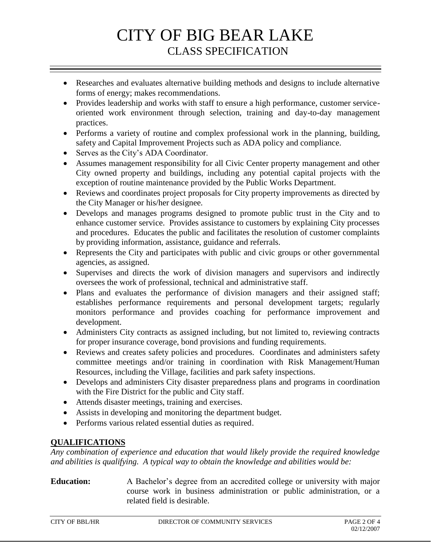- Researches and evaluates alternative building methods and designs to include alternative forms of energy; makes recommendations.
- Provides leadership and works with staff to ensure a high performance, customer serviceoriented work environment through selection, training and day-to-day management practices.
- Performs a variety of routine and complex professional work in the planning, building, safety and Capital Improvement Projects such as ADA policy and compliance.
- Serves as the City's ADA Coordinator.
- Assumes management responsibility for all Civic Center property management and other City owned property and buildings, including any potential capital projects with the exception of routine maintenance provided by the Public Works Department.
- Reviews and coordinates project proposals for City property improvements as directed by the City Manager or his/her designee.
- Develops and manages programs designed to promote public trust in the City and to enhance customer service. Provides assistance to customers by explaining City processes and procedures. Educates the public and facilitates the resolution of customer complaints by providing information, assistance, guidance and referrals.
- Represents the City and participates with public and civic groups or other governmental agencies, as assigned.
- Supervises and directs the work of division managers and supervisors and indirectly oversees the work of professional, technical and administrative staff.
- Plans and evaluates the performance of division managers and their assigned staff; establishes performance requirements and personal development targets; regularly monitors performance and provides coaching for performance improvement and development.
- Administers City contracts as assigned including, but not limited to, reviewing contracts for proper insurance coverage, bond provisions and funding requirements.
- Reviews and creates safety policies and procedures. Coordinates and administers safety committee meetings and/or training in coordination with Risk Management/Human Resources, including the Village, facilities and park safety inspections.
- Develops and administers City disaster preparedness plans and programs in coordination with the Fire District for the public and City staff.
- Attends disaster meetings, training and exercises.
- Assists in developing and monitoring the department budget.
- Performs various related essential duties as required.

# **QUALIFICATIONS**

*Any combination of experience and education that would likely provide the required knowledge and abilities is qualifying. A typical way to obtain the knowledge and abilities would be:*

# **Education:** A Bachelor's degree from an accredited college or university with major course work in business administration or public administration, or a related field is desirable.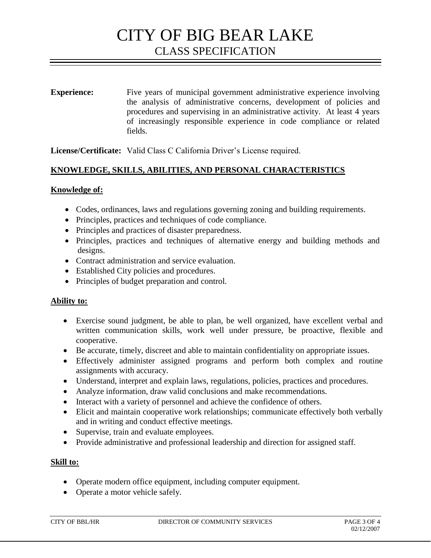**Experience:** Five years of municipal government administrative experience involving the analysis of administrative concerns, development of policies and procedures and supervising in an administrative activity. At least 4 years of increasingly responsible experience in code compliance or related fields.

**License/Certificate:** Valid Class C California Driver's License required.

# **KNOWLEDGE, SKILLS, ABILITIES, AND PERSONAL CHARACTERISTICS**

### **Knowledge of:**

- Codes, ordinances, laws and regulations governing zoning and building requirements.
- Principles, practices and techniques of code compliance.
- Principles and practices of disaster preparedness.
- Principles, practices and techniques of alternative energy and building methods and designs.
- Contract administration and service evaluation.
- Established City policies and procedures.
- Principles of budget preparation and control.

### **Ability to:**

- Exercise sound judgment, be able to plan, be well organized, have excellent verbal and written communication skills, work well under pressure, be proactive, flexible and cooperative.
- Be accurate, timely, discreet and able to maintain confidentiality on appropriate issues.
- Effectively administer assigned programs and perform both complex and routine assignments with accuracy.
- Understand, interpret and explain laws, regulations, policies, practices and procedures.
- Analyze information, draw valid conclusions and make recommendations.
- Interact with a variety of personnel and achieve the confidence of others.
- Elicit and maintain cooperative work relationships; communicate effectively both verbally and in writing and conduct effective meetings.
- Supervise, train and evaluate employees.
- Provide administrative and professional leadership and direction for assigned staff.

### **Skill to:**

- Operate modern office equipment, including computer equipment.
- Operate a motor vehicle safely.